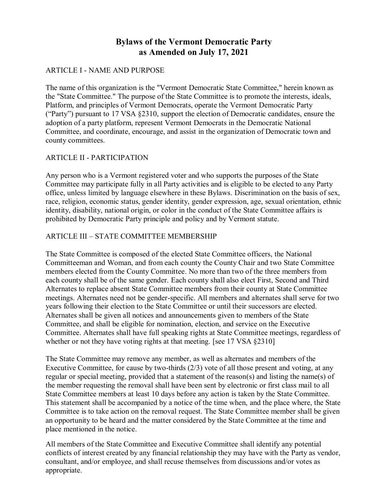# **Bylaws of the Vermont Democratic Party as Amended on July 17, 2021**

#### ARTICLE I - NAME AND PURPOSE

The name of this organization is the "Vermont Democratic State Committee," herein known as the "State Committee." The purpose of the State Committee is to promote the interests, ideals, Platform, and principles of Vermont Democrats, operate the Vermont Democratic Party ("Party") pursuant to 17 VSA §2310, support the election of Democratic candidates, ensure the adoption of a party platform, represent Vermont Democrats in the Democratic National Committee, and coordinate, encourage, and assist in the organization of Democratic town and county committees.

#### ARTICLE II - PARTICIPATION

Any person who is a Vermont registered voter and who supports the purposes of the State Committee may participate fully in all Party activities and is eligible to be elected to any Party office, unless limited by language elsewhere in these Bylaws. Discrimination on the basis of sex, race, religion, economic status, gender identity, gender expression, age, sexual orientation, ethnic identity, disability, national origin, or color in the conduct of the State Committee affairs is prohibited by Democratic Party principle and policy and by Vermont statute.

### ARTICLE III – STATE COMMITTEE MEMBERSHIP

The State Committee is composed of the elected State Committee officers, the National Committeeman and Woman, and from each county the County Chair and two State Committee members elected from the County Committee. No more than two of the three members from each county shall be of the same gender. Each county shall also elect First, Second and Third Alternates to replace absent State Committee members from their county at State Committee meetings. Alternates need not be gender-specific. All members and alternates shall serve for two years following their election to the State Committee or until their successors are elected. Alternates shall be given all notices and announcements given to members of the State Committee, and shall be eligible for nomination, election, and service on the Executive Committee. Alternates shall have full speaking rights at State Committee meetings, regardless of whether or not they have voting rights at that meeting. [see 17 VSA §2310]

The State Committee may remove any member, as well as alternates and members of the Executive Committee, for cause by two-thirds (2/3) vote of all those present and voting, at any regular or special meeting, provided that a statement of the reason(s) and listing the name(s) of the member requesting the removal shall have been sent by electronic or first class mail to all State Committee members at least 10 days before any action is taken by the State Committee. This statement shall be accompanied by a notice of the time when, and the place where, the State Committee is to take action on the removal request. The State Committee member shall be given an opportunity to be heard and the matter considered by the State Committee at the time and place mentioned in the notice.

All members of the State Committee and Executive Committee shall identify any potential conflicts of interest created by any financial relationship they may have with the Party as vendor, consultant, and/or employee, and shall recuse themselves from discussions and/or votes as appropriate.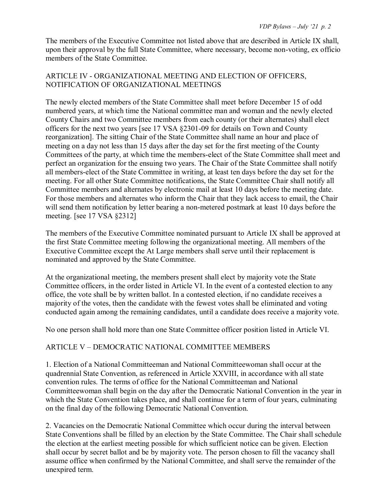The members of the Executive Committee not listed above that are described in Article IX shall, upon their approval by the full State Committee, where necessary, become non-voting, ex officio members of the State Committee.

### ARTICLE IV - ORGANIZATIONAL MEETING AND ELECTION OF OFFICERS, NOTIFICATION OF ORGANIZATIONAL MEETINGS

The newly elected members of the State Committee shall meet before December 15 of odd numbered years, at which time the National committee man and woman and the newly elected County Chairs and two Committee members from each county (or their alternates) shall elect officers for the next two years [see 17 VSA §2301-09 for details on Town and County reorganization]. The sitting Chair of the State Committee shall name an hour and place of meeting on a day not less than 15 days after the day set for the first meeting of the County Committees of the party, at which time the members-elect of the State Committee shall meet and perfect an organization for the ensuing two years. The Chair of the State Committee shall notify all members-elect of the State Committee in writing, at least ten days before the day set for the meeting. For all other State Committee notifications, the State Committee Chair shall notify all Committee members and alternates by electronic mail at least 10 days before the meeting date. For those members and alternates who inform the Chair that they lack access to email, the Chair will send them notification by letter bearing a non-metered postmark at least 10 days before the meeting. [see 17 VSA §2312]

The members of the Executive Committee nominated pursuant to Article IX shall be approved at the first State Committee meeting following the organizational meeting. All members of the Executive Committee except the At Large members shall serve until their replacement is nominated and approved by the State Committee.

At the organizational meeting, the members present shall elect by majority vote the State Committee officers, in the order listed in Article VI. In the event of a contested election to any office, the vote shall be by written ballot. In a contested election, if no candidate receives a majority of the votes, then the candidate with the fewest votes shall be eliminated and voting conducted again among the remaining candidates, until a candidate does receive a majority vote.

No one person shall hold more than one State Committee officer position listed in Article VI.

# ARTICLE V – DEMOCRATIC NATIONAL COMMITTEE MEMBERS

1. Election of a National Committeeman and National Committeewoman shall occur at the quadrennial State Convention, as referenced in Article XXVIII, in accordance with all state convention rules. The terms of office for the National Committeeman and National Committeewoman shall begin on the day after the Democratic National Convention in the year in which the State Convention takes place, and shall continue for a term of four years, culminating on the final day of the following Democratic National Convention.

2. Vacancies on the Democratic National Committee which occur during the interval between State Conventions shall be filled by an election by the State Committee. The Chair shall schedule the election at the earliest meeting possible for which sufficient notice can be given. Election shall occur by secret ballot and be by majority vote. The person chosen to fill the vacancy shall assume office when confirmed by the National Committee, and shall serve the remainder of the unexpired term.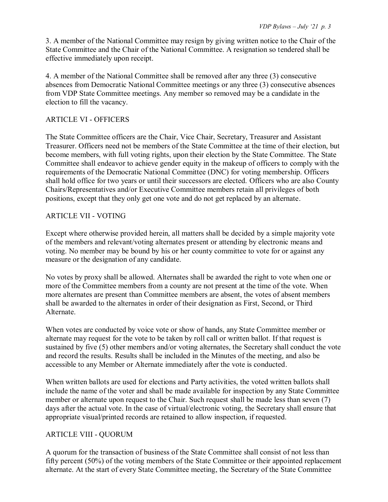3. A member of the National Committee may resign by giving written notice to the Chair of the State Committee and the Chair of the National Committee. A resignation so tendered shall be effective immediately upon receipt.

4. A member of the National Committee shall be removed after any three (3) consecutive absences from Democratic National Committee meetings or any three (3) consecutive absences from VDP State Committee meetings. Any member so removed may be a candidate in the election to fill the vacancy.

### ARTICLE VI - OFFICERS

The State Committee officers are the Chair, Vice Chair, Secretary, Treasurer and Assistant Treasurer. Officers need not be members of the State Committee at the time of their election, but become members, with full voting rights, upon their election by the State Committee. The State Committee shall endeavor to achieve gender equity in the makeup of officers to comply with the requirements of the Democratic National Committee (DNC) for voting membership. Officers shall hold office for two years or until their successors are elected. Officers who are also County Chairs/Representatives and/or Executive Committee members retain all privileges of both positions, except that they only get one vote and do not get replaced by an alternate.

### ARTICLE VII - VOTING

Except where otherwise provided herein, all matters shall be decided by a simple majority vote of the members and relevant/voting alternates present or attending by electronic means and voting. No member may be bound by his or her county committee to vote for or against any measure or the designation of any candidate.

No votes by proxy shall be allowed. Alternates shall be awarded the right to vote when one or more of the Committee members from a county are not present at the time of the vote. When more alternates are present than Committee members are absent, the votes of absent members shall be awarded to the alternates in order of their designation as First, Second, or Third Alternate.

When votes are conducted by voice vote or show of hands, any State Committee member or alternate may request for the vote to be taken by roll call or written ballot. If that request is sustained by five (5) other members and/or voting alternates, the Secretary shall conduct the vote and record the results. Results shall be included in the Minutes of the meeting, and also be accessible to any Member or Alternate immediately after the vote is conducted.

When written ballots are used for elections and Party activities, the voted written ballots shall include the name of the voter and shall be made available for inspection by any State Committee member or alternate upon request to the Chair. Such request shall be made less than seven (7) days after the actual vote. In the case of virtual/electronic voting, the Secretary shall ensure that appropriate visual/printed records are retained to allow inspection, if requested.

# ARTICLE VIII - QUORUM

A quorum for the transaction of business of the State Committee shall consist of not less than fifty percent (50%) of the voting members of the State Committee or their appointed replacement alternate. At the start of every State Committee meeting, the Secretary of the State Committee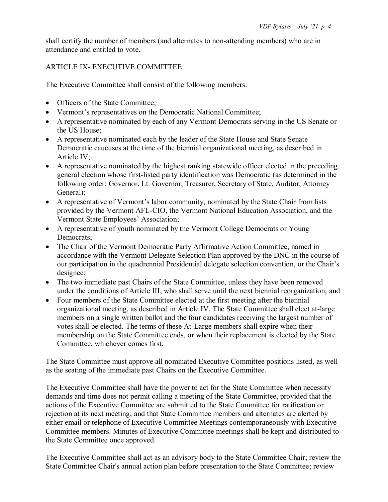shall certify the number of members (and alternates to non-attending members) who are in attendance and entitled to vote.

# ARTICLE IX- EXECUTIVE COMMITTEE

The Executive Committee shall consist of the following members:

- Officers of the State Committee:
- Vermont's representatives on the Democratic National Committee;
- A representative nominated by each of any Vermont Democrats serving in the US Senate or the US House;
- A representative nominated each by the leader of the State House and State Senate Democratic caucuses at the time of the biennial organizational meeting, as described in Article IV;
- A representative nominated by the highest ranking statewide officer elected in the preceding general election whose first-listed party identification was Democratic (as determined in the following order: Governor, Lt. Governor, Treasurer, Secretary of State, Auditor, Attorney General);
- A representative of Vermont's labor community, nominated by the State Chair from lists provided by the Vermont AFL-CIO, the Vermont National Education Association, and the Vermont State Employees' Association;
- A representative of youth nominated by the Vermont College Democrats or Young Democrats;
- The Chair of the Vermont Democratic Party Affirmative Action Committee, named in accordance with the Vermont Delegate Selection Plan approved by the DNC in the course of our participation in the quadrennial Presidential delegate selection convention, or the Chair's designee;
- The two immediate past Chairs of the State Committee, unless they have been removed under the conditions of Article III, who shall serve until the next biennial reorganization, and
- Four members of the State Committee elected at the first meeting after the biennial organizational meeting, as described in Article IV. The State Committee shall elect at-large members on a single written ballot and the four candidates receiving the largest number of votes shall be elected. The terms of these At-Large members shall expire when their membership on the State Committee ends, or when their replacement is elected by the State Committee, whichever comes first.

The State Committee must approve all nominated Executive Committee positions listed, as well as the seating of the immediate past Chairs on the Executive Committee.

The Executive Committee shall have the power to act for the State Committee when necessity demands and time does not permit calling a meeting of the State Committee, provided that the actions of the Executive Committee are submitted to the State Committee for ratification or rejection at its next meeting; and that State Committee members and alternates are alerted by either email or telephone of Executive Committee Meetings contemporaneously with Executive Committee members. Minutes of Executive Committee meetings shall be kept and distributed to the State Committee once approved.

The Executive Committee shall act as an advisory body to the State Committee Chair; review the State Committee Chair's annual action plan before presentation to the State Committee; review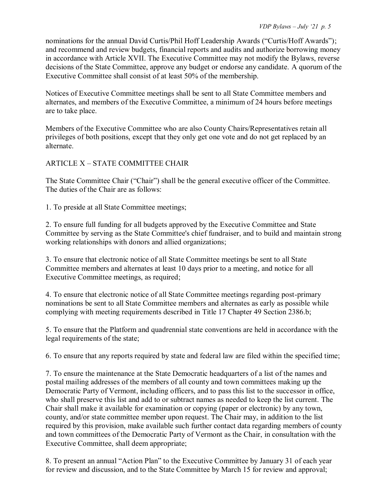nominations for the annual David Curtis/Phil Hoff Leadership Awards ("Curtis/Hoff Awards"); and recommend and review budgets, financial reports and audits and authorize borrowing money in accordance with Article XVII. The Executive Committee may not modify the Bylaws, reverse decisions of the State Committee, approve any budget or endorse any candidate. A quorum of the Executive Committee shall consist of at least 50% of the membership.

Notices of Executive Committee meetings shall be sent to all State Committee members and alternates, and members of the Executive Committee, a minimum of 24 hours before meetings are to take place.

Members of the Executive Committee who are also County Chairs/Representatives retain all privileges of both positions, except that they only get one vote and do not get replaced by an alternate.

# ARTICLE X – STATE COMMITTEE CHAIR

The State Committee Chair ("Chair") shall be the general executive officer of the Committee. The duties of the Chair are as follows:

1. To preside at all State Committee meetings;

2. To ensure full funding for all budgets approved by the Executive Committee and State Committee by serving as the State Committee's chief fundraiser, and to build and maintain strong working relationships with donors and allied organizations;

3. To ensure that electronic notice of all State Committee meetings be sent to all State Committee members and alternates at least 10 days prior to a meeting, and notice for all Executive Committee meetings, as required;

4. To ensure that electronic notice of all State Committee meetings regarding post-primary nominations be sent to all State Committee members and alternates as early as possible while complying with meeting requirements described in Title 17 Chapter 49 Section 2386.b;

5. To ensure that the Platform and quadrennial state conventions are held in accordance with the legal requirements of the state;

6. To ensure that any reports required by state and federal law are filed within the specified time;

7. To ensure the maintenance at the State Democratic headquarters of a list of the names and postal mailing addresses of the members of all county and town committees making up the Democratic Party of Vermont, including officers, and to pass this list to the successor in office, who shall preserve this list and add to or subtract names as needed to keep the list current. The Chair shall make it available for examination or copying (paper or electronic) by any town, county, and/or state committee member upon request. The Chair may, in addition to the list required by this provision, make available such further contact data regarding members of county and town committees of the Democratic Party of Vermont as the Chair, in consultation with the Executive Committee, shall deem appropriate;

8. To present an annual "Action Plan" to the Executive Committee by January 31 of each year for review and discussion, and to the State Committee by March 15 for review and approval;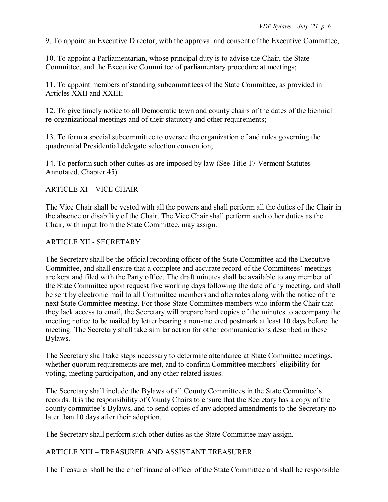9. To appoint an Executive Director, with the approval and consent of the Executive Committee;

10. To appoint a Parliamentarian, whose principal duty is to advise the Chair, the State Committee, and the Executive Committee of parliamentary procedure at meetings;

11. To appoint members of standing subcommittees of the State Committee, as provided in Articles XXII and XXIII;

12. To give timely notice to all Democratic town and county chairs of the dates of the biennial re-organizational meetings and of their statutory and other requirements;

13. To form a special subcommittee to oversee the organization of and rules governing the quadrennial Presidential delegate selection convention;

14. To perform such other duties as are imposed by law (See Title 17 Vermont Statutes Annotated, Chapter 45).

### ARTICLE XI – VICE CHAIR

The Vice Chair shall be vested with all the powers and shall perform all the duties of the Chair in the absence or disability of the Chair. The Vice Chair shall perform such other duties as the Chair, with input from the State Committee, may assign.

### ARTICLE XII - SECRETARY

The Secretary shall be the official recording officer of the State Committee and the Executive Committee, and shall ensure that a complete and accurate record of the Committees' meetings are kept and filed with the Party office. The draft minutes shall be available to any member of the State Committee upon request five working days following the date of any meeting, and shall be sent by electronic mail to all Committee members and alternates along with the notice of the next State Committee meeting. For those State Committee members who inform the Chair that they lack access to email, the Secretary will prepare hard copies of the minutes to accompany the meeting notice to be mailed by letter bearing a non-metered postmark at least 10 days before the meeting. The Secretary shall take similar action for other communications described in these Bylaws.

The Secretary shall take steps necessary to determine attendance at State Committee meetings, whether quorum requirements are met, and to confirm Committee members' eligibility for voting, meeting participation, and any other related issues.

The Secretary shall include the Bylaws of all County Committees in the State Committee's records. It is the responsibility of County Chairs to ensure that the Secretary has a copy of the county committee's Bylaws, and to send copies of any adopted amendments to the Secretary no later than 10 days after their adoption.

The Secretary shall perform such other duties as the State Committee may assign.

# ARTICLE XIII – TREASURER AND ASSISTANT TREASURER

The Treasurer shall be the chief financial officer of the State Committee and shall be responsible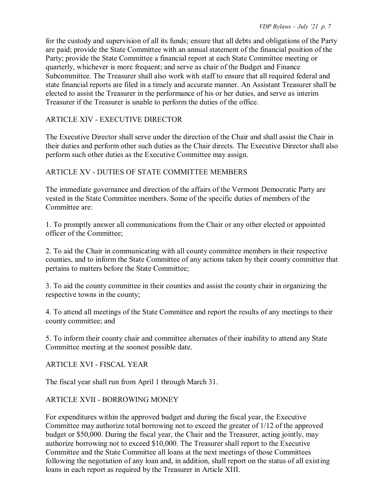for the custody and supervision of all its funds; ensure that all debts and obligations of the Party are paid; provide the State Committee with an annual statement of the financial position of the Party; provide the State Committee a financial report at each State Committee meeting or quarterly, whichever is more frequent; and serve as chair of the Budget and Finance Subcommittee. The Treasurer shall also work with staff to ensure that all required federal and state financial reports are filed in a timely and accurate manner. An Assistant Treasurer shall be elected to assist the Treasurer in the performance of his or her duties, and serve as interim Treasurer if the Treasurer is unable to perform the duties of the office.

### ARTICLE XIV - EXECUTIVE DIRECTOR

The Executive Director shall serve under the direction of the Chair and shall assist the Chair in their duties and perform other such duties as the Chair directs. The Executive Director shall also perform such other duties as the Executive Committee may assign.

### ARTICLE XV - DUTIES OF STATE COMMITTEE MEMBERS

The immediate governance and direction of the affairs of the Vermont Democratic Party are vested in the State Committee members. Some of the specific duties of members of the Committee are:

1. To promptly answer all communications from the Chair or any other elected or appointed officer of the Committee;

2. To aid the Chair in communicating with all county committee members in their respective counties, and to inform the State Committee of any actions taken by their county committee that pertains to matters before the State Committee;

3. To aid the county committee in their counties and assist the county chair in organizing the respective towns in the county;

4. To attend all meetings of the State Committee and report the results of any meetings to their county committee; and

5. To inform their county chair and committee alternates of their inability to attend any State Committee meeting at the soonest possible date.

ARTICLE XVI - FISCAL YEAR

The fiscal year shall run from April 1 through March 31.

### ARTICLE XVII - BORROWING MONEY

For expenditures within the approved budget and during the fiscal year, the Executive Committee may authorize total borrowing not to exceed the greater of 1/12 of the approved budget or \$50,000. During the fiscal year, the Chair and the Treasurer, acting jointly, may authorize borrowing not to exceed \$10,000. The Treasurer shall report to the Executive Committee and the State Committee all loans at the next meetings of those Committees following the negotiation of any loan and, in addition, shall report on the status of all existing loans in each report as required by the Treasurer in Article XIII.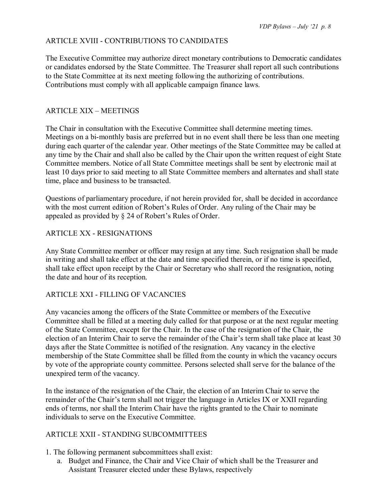### ARTICLE XVIII - CONTRIBUTIONS TO CANDIDATES

The Executive Committee may authorize direct monetary contributions to Democratic candidates or candidates endorsed by the State Committee. The Treasurer shall report all such contributions to the State Committee at its next meeting following the authorizing of contributions. Contributions must comply with all applicable campaign finance laws.

#### ARTICLE XIX – MEETINGS

The Chair in consultation with the Executive Committee shall determine meeting times. Meetings on a bi-monthly basis are preferred but in no event shall there be less than one meeting during each quarter of the calendar year. Other meetings of the State Committee may be called at any time by the Chair and shall also be called by the Chair upon the written request of eight State Committee members. Notice of all State Committee meetings shall be sent by electronic mail at least 10 days prior to said meeting to all State Committee members and alternates and shall state time, place and business to be transacted.

Questions of parliamentary procedure, if not herein provided for, shall be decided in accordance with the most current edition of Robert's Rules of Order. Any ruling of the Chair may be appealed as provided by § 24 of Robert's Rules of Order.

#### ARTICLE XX - RESIGNATIONS

Any State Committee member or officer may resign at any time. Such resignation shall be made in writing and shall take effect at the date and time specified therein, or if no time is specified, shall take effect upon receipt by the Chair or Secretary who shall record the resignation, noting the date and hour of its reception.

#### ARTICLE XXI - FILLING OF VACANCIES

Any vacancies among the officers of the State Committee or members of the Executive Committee shall be filled at a meeting duly called for that purpose or at the next regular meeting of the State Committee, except for the Chair. In the case of the resignation of the Chair, the election of an Interim Chair to serve the remainder of the Chair's term shall take place at least 30 days after the State Committee is notified of the resignation. Any vacancy in the elective membership of the State Committee shall be filled from the county in which the vacancy occurs by vote of the appropriate county committee. Persons selected shall serve for the balance of the unexpired term of the vacancy.

In the instance of the resignation of the Chair, the election of an Interim Chair to serve the remainder of the Chair's term shall not trigger the language in Articles IX or XXII regarding ends of terms, nor shall the Interim Chair have the rights granted to the Chair to nominate individuals to serve on the Executive Committee.

#### ARTICLE XXII - STANDING SUBCOMMITTEES

- 1. The following permanent subcommittees shall exist:
	- a. Budget and Finance, the Chair and Vice Chair of which shall be the Treasurer and Assistant Treasurer elected under these Bylaws, respectively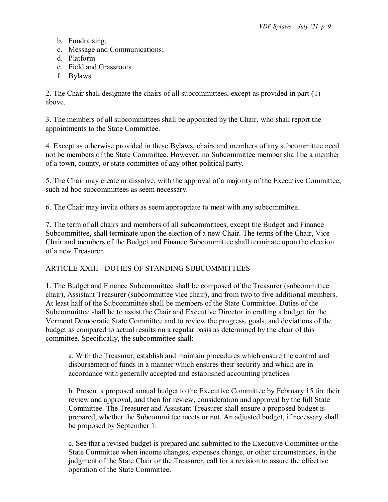- b. Fundraising;
- c. Message and Communications;
- d. Platform
- e. Field and Grassroots
- f. Bylaws

2. The Chair shall designate the chairs of all subcommittees, except as provided in part (1) above.

3. The members of all subcommittees shall be appointed by the Chair, who shall report the appointments to the State Committee.

4. Except as otherwise provided in these Bylaws, chairs and members of any subcommittee need not be members of the State Committee. However, no Subcommittee member shall be a member of a town, county, or state committee of any other political party.

5. The Chair may create or dissolve, with the approval of a majority of the Executive Committee, such ad hoc subcommittees as seem necessary.

6. The Chair may invite others as seem appropriate to meet with any subcommittee.

7. The term of all chairs and members of all subcommittees, except the Budget and Finance Subcommittee, shall terminate upon the election of a new Chair. The terms of the Chair, Vice Chair and members of the Budget and Finance Subcommittee shall terminate upon the election of a new Treasurer.

### ARTICLE XXIII - DUTIES OF STANDING SUBCOMMITTEES

1. The Budget and Finance Subcommittee shall be composed of the Treasurer (subcommittee chair), Assistant Treasurer (subcommittee vice chair), and from two to five additional members. At least half of the Subcommittee shall be members of the State Committee. Duties of the Subcommittee shall be to assist the Chair and Executive Director in crafting a budget for the Vermont Democratic State Committee and to review the progress, goals, and deviations of the budget as compared to actual results on a regular basis as determined by the chair of this committee. Specifically, the subcommittee shall:

a. With the Treasurer, establish and maintain procedures which ensure the control and disbursement of funds in a manner which ensures their security and which are in accordance with generally accepted and established accounting practices.

b. Present a proposed annual budget to the Executive Committee by February 15 for their review and approval, and then for review, consideration and approval by the full State Committee. The Treasurer and Assistant Treasurer shall ensure a proposed budget is prepared, whether the Subcommittee meets or not. An adjusted budget, if necessary shall be proposed by September 1.

c. See that a revised budget is prepared and submitted to the Executive Committee or the State Committee when income changes, expenses change, or other circumstances, in the judgment of the State Chair or the Treasurer, call for a revision to assure the effective operation of the State Committee.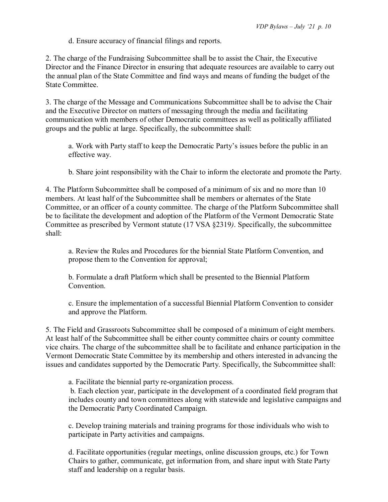d. Ensure accuracy of financial filings and reports.

2. The charge of the Fundraising Subcommittee shall be to assist the Chair, the Executive Director and the Finance Director in ensuring that adequate resources are available to carry out the annual plan of the State Committee and find ways and means of funding the budget of the State Committee.

3. The charge of the Message and Communications Subcommittee shall be to advise the Chair and the Executive Director on matters of messaging through the media and facilitating communication with members of other Democratic committees as well as politically affiliated groups and the public at large. Specifically, the subcommittee shall:

a. Work with Party staff to keep the Democratic Party's issues before the public in an effective way.

b. Share joint responsibility with the Chair to inform the electorate and promote the Party.

4. The Platform Subcommittee shall be composed of a minimum of six and no more than 10 members. At least half of the Subcommittee shall be members or alternates of the State Committee, or an officer of a county committee. The charge of the Platform Subcommittee shall be to facilitate the development and adoption of the Platform of the Vermont Democratic State Committee as prescribed by Vermont statute (17 VSA §2319*)*. Specifically, the subcommittee shall:

a. Review the Rules and Procedures for the biennial State Platform Convention, and propose them to the Convention for approval;

b. Formulate a draft Platform which shall be presented to the Biennial Platform Convention.

c. Ensure the implementation of a successful Biennial Platform Convention to consider and approve the Platform.

5. The Field and Grassroots Subcommittee shall be composed of a minimum of eight members. At least half of the Subcommittee shall be either county committee chairs or county committee vice chairs. The charge of the subcommittee shall be to facilitate and enhance participation in the Vermont Democratic State Committee by its membership and others interested in advancing the issues and candidates supported by the Democratic Party. Specifically, the Subcommittee shall:

a. Facilitate the biennial party re-organization process.

b. Each election year, participate in the development of a coordinated field program that includes county and town committees along with statewide and legislative campaigns and the Democratic Party Coordinated Campaign.

c. Develop training materials and training programs for those individuals who wish to participate in Party activities and campaigns.

d. Facilitate opportunities (regular meetings, online discussion groups, etc.) for Town Chairs to gather, communicate, get information from, and share input with State Party staff and leadership on a regular basis.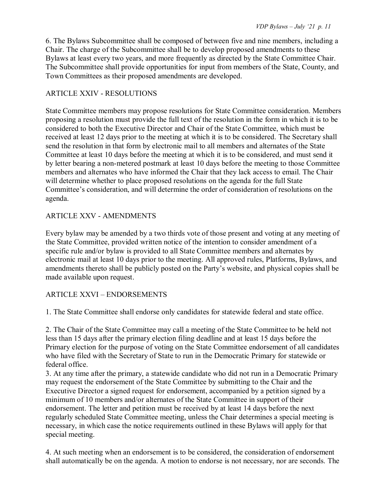6. The Bylaws Subcommittee shall be composed of between five and nine members, including a Chair. The charge of the Subcommittee shall be to develop proposed amendments to these Bylaws at least every two years, and more frequently as directed by the State Committee Chair. The Subcommittee shall provide opportunities for input from members of the State, County, and Town Committees as their proposed amendments are developed.

#### ARTICLE XXIV - RESOLUTIONS

State Committee members may propose resolutions for State Committee consideration. Members proposing a resolution must provide the full text of the resolution in the form in which it is to be considered to both the Executive Director and Chair of the State Committee, which must be received at least 12 days prior to the meeting at which it is to be considered. The Secretary shall send the resolution in that form by electronic mail to all members and alternates of the State Committee at least 10 days before the meeting at which it is to be considered, and must send it by letter bearing a non-metered postmark at least 10 days before the meeting to those Committee members and alternates who have informed the Chair that they lack access to email. The Chair will determine whether to place proposed resolutions on the agenda for the full State Committee's consideration, and will determine the order of consideration of resolutions on the agenda.

### ARTICLE XXV - AMENDMENTS

Every bylaw may be amended by a two thirds vote of those present and voting at any meeting of the State Committee, provided written notice of the intention to consider amendment of a specific rule and/or bylaw is provided to all State Committee members and alternates by electronic mail at least 10 days prior to the meeting. All approved rules, Platforms, Bylaws, and amendments thereto shall be publicly posted on the Party's website, and physical copies shall be made available upon request.

### ARTICLE XXVI – ENDORSEMENTS

1. The State Committee shall endorse only candidates for statewide federal and state office.

2. The Chair of the State Committee may call a meeting of the State Committee to be held not less than 15 days after the primary election filing deadline and at least 15 days before the Primary election for the purpose of voting on the State Committee endorsement of all candidates who have filed with the Secretary of State to run in the Democratic Primary for statewide or federal office.

3. At any time after the primary, a statewide candidate who did not run in a Democratic Primary may request the endorsement of the State Committee by submitting to the Chair and the Executive Director a signed request for endorsement, accompanied by a petition signed by a minimum of 10 members and/or alternates of the State Committee in support of their endorsement. The letter and petition must be received by at least 14 days before the next regularly scheduled State Committee meeting, unless the Chair determines a special meeting is necessary, in which case the notice requirements outlined in these Bylaws will apply for that special meeting.

4. At such meeting when an endorsement is to be considered, the consideration of endorsement shall automatically be on the agenda. A motion to endorse is not necessary, nor are seconds. The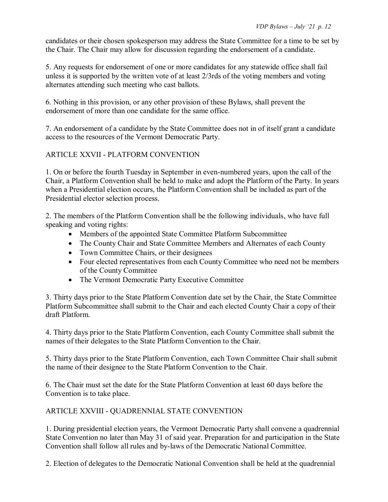candidates or their chosen spokesperson may address the State Committee for a time to be set by the Chair. The Chair may allow for discussion regarding the endorsement of a candidate.

5. Any requests for endorsement of one or more candidates for any statewide office shall fail unless it is supported by the written vote of at least 2/3rds of the voting members and voting alternates attending such meeting who cast ballots.

6. Nothing in this provision, or any other provision of these Bylaws, shall prevent the endorsement of more than one candidate for the same office.

7. An endorsement of a candidate by the State Committee does not in of itself grant a candidate access to the resources of the Vermont Democratic Party.

# ARTICLE XXVII - PLATFORM CONVENTION

1. On or before the fourth Tuesday in September in even-numbered years, upon the call of the Chair, a Platform Convention shall be held to make and adopt the Platform of the Party. In years when a Presidential election occurs, the Platform Convention shall be included as part of the Presidential elector selection process.

2. The members of the Platform Convention shall be the following individuals, who have full speaking and voting rights:

- Members of the appointed State Committee Platform Subcommittee
- The County Chair and State Committee Members and Alternates of each County
- Town Committee Chairs, or their designees
- Four elected representatives from each County Committee who need not be members of the County Committee
- The Vermont Democratic Party Executive Committee

3. Thirty days prior to the State Platform Convention date set by the Chair, the State Committee Platform Subcommittee shall submit to the Chair and each elected County Chair a copy of their draft Platform.

4. Thirty days prior to the State Platform Convention, each County Committee shall submit the names of their delegates to the State Platform Convention to the Chair.

5. Thirty days prior to the State Platform Convention, each Town Committee Chair shall submit the name of their designee to the State Platform Convention to the Chair.

6. The Chair must set the date for the State Platform Convention at least 60 days before the Convention is to take place.

# ARTICLE XXVIII - QUADRENNIAL STATE CONVENTION

1. During presidential election years, the Vermont Democratic Party shall convene a quadrennial State Convention no later than May 31 of said year. Preparation for and participation in the State Convention shall follow all rules and by-laws of the Democratic National Committee.

2. Election of delegates to the Democratic National Convention shall be held at the quadrennial